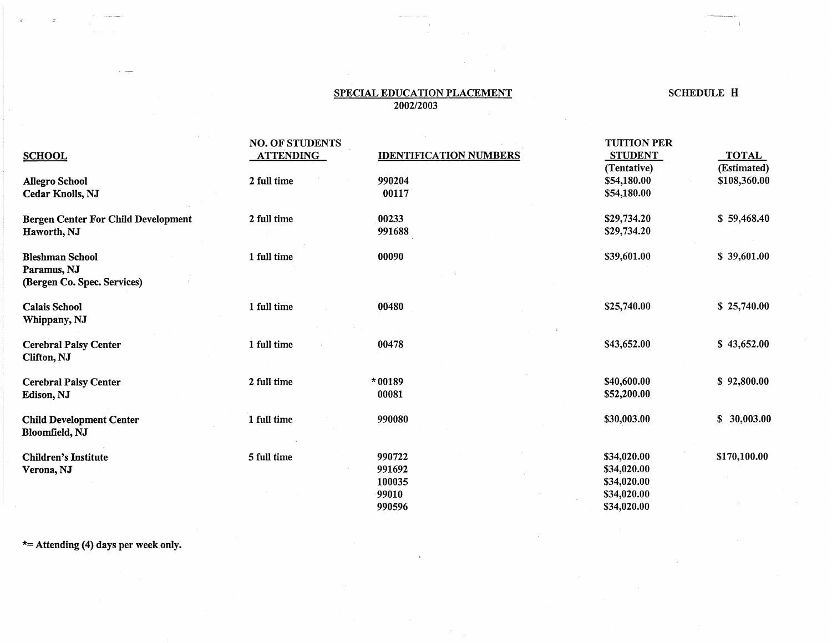## SPECIAL EDUCATION PLACEMENT SCHEDULE H 2002/2003

 $\sim$ 

|                                                          | <b>NO. OF STUDENTS</b> |                               | <b>TUITION PER</b> |                 |
|----------------------------------------------------------|------------------------|-------------------------------|--------------------|-----------------|
| <b>SCHOOL</b>                                            | <b>ATTENDING</b>       | <b>IDENTIFICATION NUMBERS</b> | <b>STUDENT</b>     | <b>TOTAL</b>    |
|                                                          |                        |                               | (Tentative)        | (Estimated)     |
| <b>Allegro School</b>                                    | 2 full time            | 990204                        | \$54,180.00        | \$108,360.00    |
| <b>Cedar Knolls, NJ</b>                                  |                        | 00117                         | \$54,180.00        |                 |
| <b>Bergen Center For Child Development</b>               | 2 full time            | 00233                         | \$29,734.20        | \$59,468.40     |
| Haworth, NJ                                              |                        | 991688                        | \$29,734.20        |                 |
| <b>Bleshman School</b>                                   | 1 full time            | 00090                         | \$39,601.00        | \$39,601.00     |
| Paramus, NJ                                              |                        |                               |                    |                 |
| (Bergen Co. Spec. Services)                              |                        |                               |                    |                 |
| <b>Calais School</b>                                     | 1 full time            | 00480                         | \$25,740.00        | \$25,740.00     |
| Whippany, NJ                                             |                        |                               |                    |                 |
| <b>Cerebral Palsy Center</b><br>Clifton, NJ              | 1 full time            | 00478                         | \$43,652.00        | \$43,652.00     |
| <b>Cerebral Palsy Center</b>                             | 2 full time            | *00189                        | \$40,600.00        | \$92,800.00     |
| Edison, NJ                                               |                        | 00081                         | \$52,200.00        |                 |
| <b>Child Development Center</b><br><b>Bloomfield, NJ</b> | 1 full time            | 990080                        | \$30,003.00        | \$<br>30,003.00 |
| <b>Children's Institute</b>                              | 5 full time            | 990722                        | \$34,020.00        | \$170,100.00    |
| Verona, NJ                                               |                        | 991692                        | \$34,020.00        |                 |
|                                                          |                        | 100035                        | \$34,020.00        |                 |
|                                                          |                        | 99010                         | \$34,020.00        |                 |
|                                                          |                        | 990596                        | \$34,020.00        |                 |

\*= Attending (4) days per week only.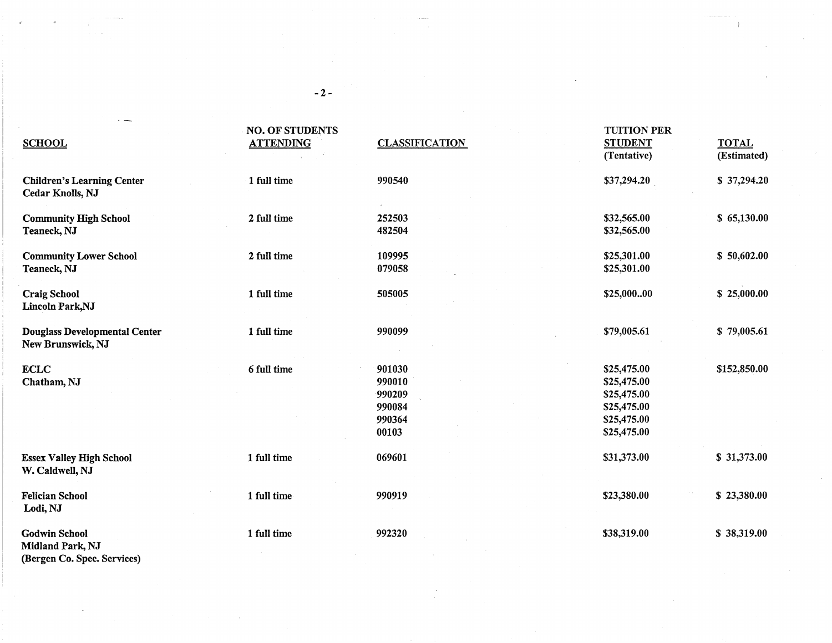| <b>SCHOOL</b>                                                | <b>NO. OF STUDENTS</b><br><b>ATTENDING</b> | <b>CLASSIFICATION</b>                                   | <b>TUITION PER</b><br><b>STUDENT</b><br>(Tentative)                                    | <b>TOTAL</b><br>(Estimated) |
|--------------------------------------------------------------|--------------------------------------------|---------------------------------------------------------|----------------------------------------------------------------------------------------|-----------------------------|
| <b>Children's Learning Center</b><br><b>Cedar Knolls, NJ</b> | 1 full time                                | 990540                                                  | \$37,294.20                                                                            | \$37,294.20                 |
| <b>Community High School</b><br>Teaneck, NJ                  | 2 full time                                | 252503<br>482504                                        | \$32,565.00<br>\$32,565.00                                                             | \$65,130.00                 |
| <b>Community Lower School</b><br>Teaneck, NJ                 | 2 full time                                | 109995<br>079058                                        | \$25,301.00<br>\$25,301.00                                                             | \$50,602.00                 |
| <b>Craig School</b><br>Lincoln Park, NJ                      | 1 full time                                | 505005                                                  | \$25,00000                                                                             | \$25,000.00                 |
| <b>Douglass Developmental Center</b><br>New Brunswick, NJ    | 1 full time                                | 990099                                                  | \$79,005.61                                                                            | \$79,005.61                 |
| <b>ECLC</b><br>Chatham, NJ                                   | 6 full time                                | 901030<br>990010<br>990209<br>990084<br>990364<br>00103 | \$25,475.00<br>\$25,475.00<br>\$25,475.00<br>\$25,475.00<br>\$25,475.00<br>\$25,475.00 | \$152,850.00                |
| <b>Essex Valley High School</b><br>W. Caldwell, NJ           | 1 full time                                | 069601                                                  | \$31,373.00                                                                            | \$31,373.00                 |
| <b>Felician School</b><br>Lodi, NJ                           | 1 full time                                | 990919                                                  | \$23,380.00                                                                            | \$23,380.00                 |
| <b>Godwin School</b><br>Midland Park, NJ                     | 1 full time                                | 992320                                                  | \$38,319.00                                                                            | \$38,319.00                 |

(Bergen Co. Spec. Services)

-2-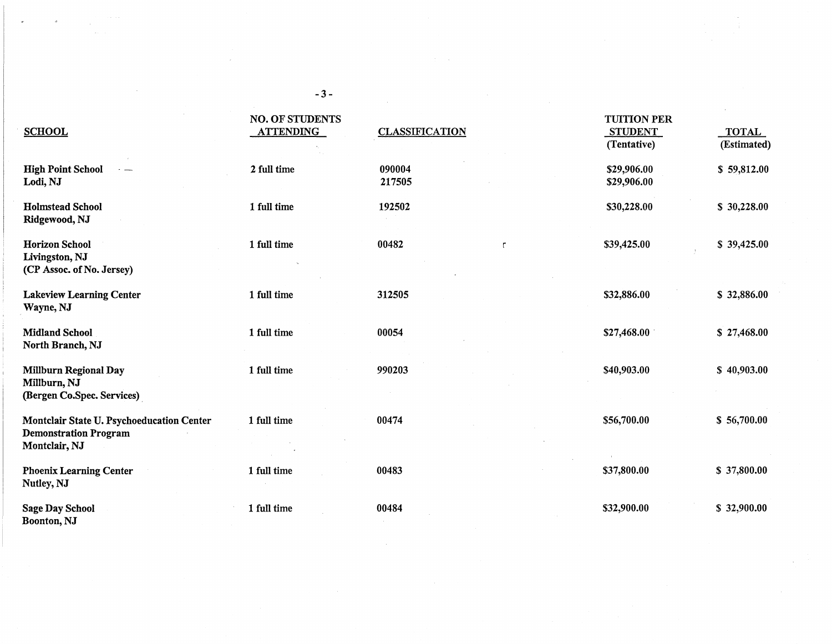| <b>SCHOOL</b>                                                                              | <b>NO. OF STUDENTS</b><br><b>ATTENDING</b> | <b>CLASSIFICATION</b> | <b>TUITION PER</b><br><b>STUDENT</b><br>(Tentative) | <b>TOTAL</b><br>(Estimated) |
|--------------------------------------------------------------------------------------------|--------------------------------------------|-----------------------|-----------------------------------------------------|-----------------------------|
| <b>High Point School</b><br>$\overline{\phantom{a}}$<br>Lodi, NJ                           | 2 full time                                | 090004<br>217505      | \$29,906.00<br>\$29,906.00                          | \$59,812.00                 |
| <b>Holmstead School</b><br>Ridgewood, NJ                                                   | 1 full time                                | 192502                | \$30,228.00                                         | \$30,228.00                 |
| <b>Horizon School</b><br>Livingston, NJ<br>(CP Assoc. of No. Jersey)                       | 1 full time                                | 00482<br>$\mathsf{r}$ | \$39,425.00                                         | \$39,425.00                 |
| <b>Lakeview Learning Center</b><br>Wayne, NJ                                               | 1 full time                                | 312505                | \$32,886.00                                         | \$32,886.00                 |
| <b>Midland School</b><br>North Branch, NJ                                                  | 1 full time                                | 00054                 | \$27,468.00                                         | \$27,468.00                 |
| <b>Millburn Regional Day</b><br>Millburn, NJ<br>(Bergen Co.Spec. Services)                 | 1 full time                                | 990203                | \$40,903.00                                         | \$40,903.00                 |
| Montclair State U. Psychoeducation Center<br><b>Demonstration Program</b><br>Montclair, NJ | 1 full time                                | 00474                 | \$56,700.00                                         | \$56,700.00                 |
| <b>Phoenix Learning Center</b><br>Nutley, NJ                                               | 1 full time                                | 00483                 | \$37,800.00                                         | \$37,800.00                 |
| <b>Sage Day School</b><br>Boonton, NJ                                                      | 1 full time                                | 00484                 | \$32,900.00                                         | \$32,900.00                 |

-3-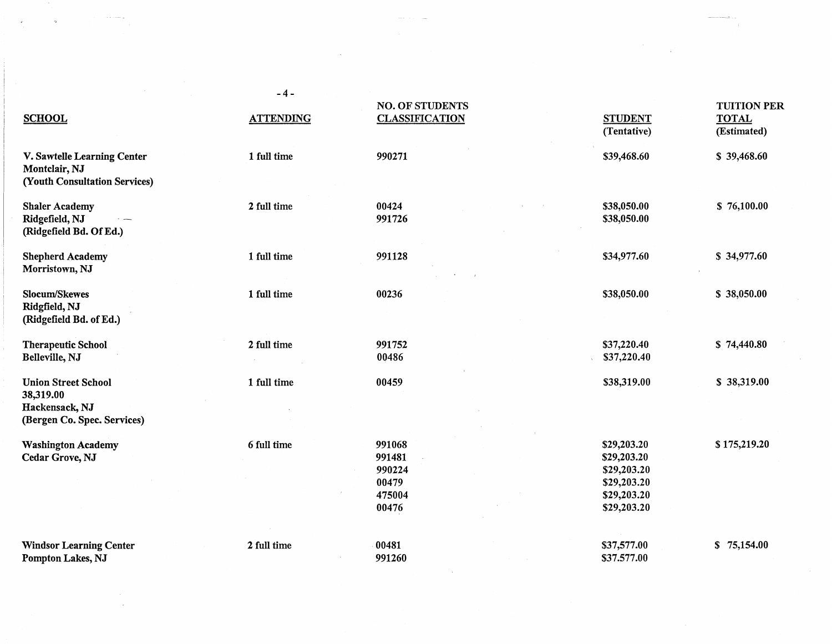| <b>SCHOOL</b>                                                                            | $-4-$<br><b>ATTENDING</b> | <b>NO. OF STUDENTS</b><br><b>CLASSIFICATION</b>        | <b>STUDENT</b><br>(Tentative)                                                          | <b>TUITION PER</b><br><b>TOTAL</b><br>(Estimated) |
|------------------------------------------------------------------------------------------|---------------------------|--------------------------------------------------------|----------------------------------------------------------------------------------------|---------------------------------------------------|
| V. Sawtelle Learning Center<br>Montclair, NJ<br>(Youth Consultation Services)            | 1 full time               | 990271                                                 | \$39,468.60                                                                            | \$39,468.60                                       |
| <b>Shaler Academy</b><br>Ridgefield, NJ<br>(Ridgefield Bd. Of Ed.)                       | 2 full time               | 00424<br>991726                                        | \$38,050.00<br>\$38,050.00                                                             | \$76,100.00                                       |
| <b>Shepherd Academy</b><br>Morristown, NJ                                                | 1 full time               | 991128                                                 | \$34,977.60                                                                            | \$34,977.60                                       |
| <b>Slocum/Skewes</b><br>Ridgfield, NJ<br>(Ridgefield Bd. of Ed.)                         | 1 full time               | 00236                                                  | \$38,050.00                                                                            | \$38,050.00                                       |
| <b>Therapeutic School</b><br>Belleville, NJ                                              | 2 full time               | 991752<br>00486                                        | \$37,220.40<br>\$37,220.40                                                             | \$74,440.80                                       |
| <b>Union Street School</b><br>38,319.00<br>Hackensack, NJ<br>(Bergen Co. Spec. Services) | 1 full time               | 00459                                                  | \$38,319.00                                                                            | \$38,319.00                                       |
| <b>Washington Academy</b><br>Cedar Grove, NJ                                             | 6 full time               | 991068<br>991481<br>990224<br>00479<br>475004<br>00476 | \$29,203.20<br>\$29,203.20<br>\$29,203.20<br>\$29,203.20<br>\$29,203.20<br>\$29,203.20 | \$175,219.20                                      |
| <b>Windsor Learning Center</b><br>Pompton Lakes, NJ                                      | 2 full time               | 00481<br>991260                                        | \$37,577.00<br>\$37.577.00                                                             | \$75,154.00                                       |

 $\label{eq:2} \begin{array}{c} \mathcal{L}_{\text{max}} \\ \mathcal{L}_{\text{max}} \\ \mathcal{L}_{\text{max}} \end{array}$ 

 $\mathcal{L}^{\text{max}}_{\text{max}}$  and  $\mathcal{L}^{\text{max}}_{\text{max}}$